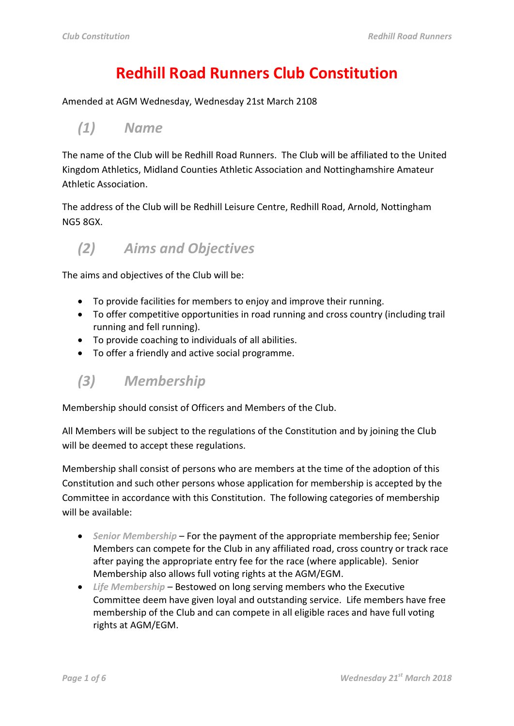# **Redhill Road Runners Club Constitution**

Amended at AGM Wednesday, Wednesday 21st March 2108

#### *(1) Name*

The name of the Club will be Redhill Road Runners. The Club will be affiliated to the United Kingdom Athletics, Midland Counties Athletic Association and Nottinghamshire Amateur Athletic Association.

The address of the Club will be Redhill Leisure Centre, Redhill Road, Arnold, Nottingham NG5 8GX.

*(2) Aims and Objectives*

The aims and objectives of the Club will be:

- To provide facilities for members to enjoy and improve their running.
- To offer competitive opportunities in road running and cross country (including trail running and fell running).
- To provide coaching to individuals of all abilities.
- To offer a friendly and active social programme.
- *(3) Membership*

Membership should consist of Officers and Members of the Club.

All Members will be subject to the regulations of the Constitution and by joining the Club will be deemed to accept these regulations.

Membership shall consist of persons who are members at the time of the adoption of this Constitution and such other persons whose application for membership is accepted by the Committee in accordance with this Constitution. The following categories of membership will be available:

- *Senior Membership* For the payment of the appropriate membership fee; Senior Members can compete for the Club in any affiliated road, cross country or track race after paying the appropriate entry fee for the race (where applicable). Senior Membership also allows full voting rights at the AGM/EGM.
- *Life Membership* Bestowed on long serving members who the Executive Committee deem have given loyal and outstanding service. Life members have free membership of the Club and can compete in all eligible races and have full voting rights at AGM/EGM.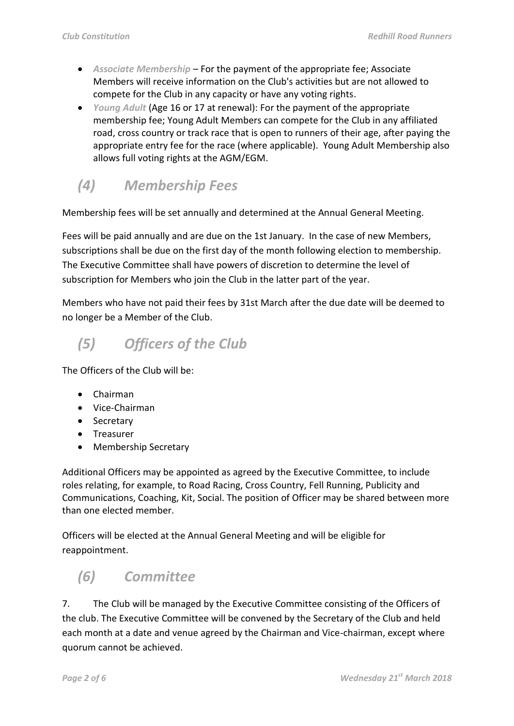- *Associate Membership* For the payment of the appropriate fee; Associate Members will receive information on the Club's activities but are not allowed to compete for the Club in any capacity or have any voting rights.
- *Young Adult* (Age 16 or 17 at renewal): For the payment of the appropriate membership fee; Young Adult Members can compete for the Club in any affiliated road, cross country or track race that is open to runners of their age, after paying the appropriate entry fee for the race (where applicable). Young Adult Membership also allows full voting rights at the AGM/EGM.

## *(4) Membership Fees*

Membership fees will be set annually and determined at the Annual General Meeting.

Fees will be paid annually and are due on the 1st January. In the case of new Members, subscriptions shall be due on the first day of the month following election to membership. The Executive Committee shall have powers of discretion to determine the level of subscription for Members who join the Club in the latter part of the year.

Members who have not paid their fees by 31st March after the due date will be deemed to no longer be a Member of the Club.

# *(5) Officers of the Club*

The Officers of the Club will be:

- Chairman
- Vice-Chairman
- Secretary
- Treasurer
- Membership Secretary

Additional Officers may be appointed as agreed by the Executive Committee, to include roles relating, for example, to Road Racing, Cross Country, Fell Running, Publicity and Communications, Coaching, Kit, Social. The position of Officer may be shared between more than one elected member.

Officers will be elected at the Annual General Meeting and will be eligible for reappointment.

# *(6) Committee*

7. The Club will be managed by the Executive Committee consisting of the Officers of the club. The Executive Committee will be convened by the Secretary of the Club and held each month at a date and venue agreed by the Chairman and Vice-chairman, except where quorum cannot be achieved.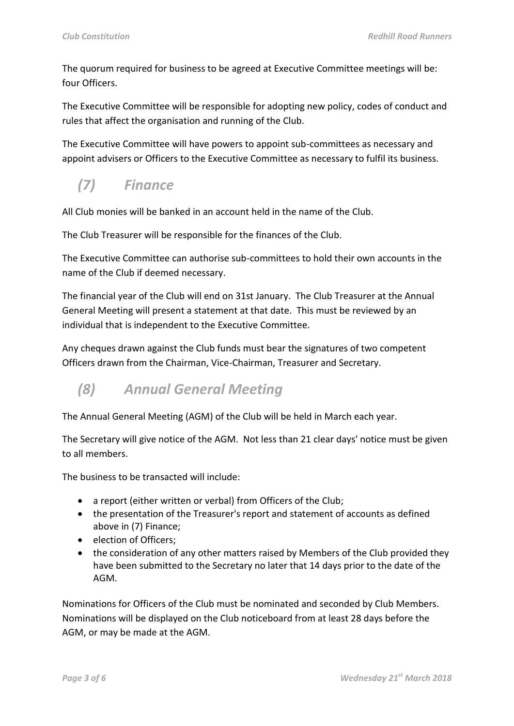The quorum required for business to be agreed at Executive Committee meetings will be: four Officers.

The Executive Committee will be responsible for adopting new policy, codes of conduct and rules that affect the organisation and running of the Club.

The Executive Committee will have powers to appoint sub-committees as necessary and appoint advisers or Officers to the Executive Committee as necessary to fulfil its business.

### *(7) Finance*

All Club monies will be banked in an account held in the name of the Club.

The Club Treasurer will be responsible for the finances of the Club.

The Executive Committee can authorise sub-committees to hold their own accounts in the name of the Club if deemed necessary.

The financial year of the Club will end on 31st January. The Club Treasurer at the Annual General Meeting will present a statement at that date. This must be reviewed by an individual that is independent to the Executive Committee.

Any cheques drawn against the Club funds must bear the signatures of two competent Officers drawn from the Chairman, Vice-Chairman, Treasurer and Secretary.

#### *(8) Annual General Meeting*

The Annual General Meeting (AGM) of the Club will be held in March each year.

The Secretary will give notice of the AGM. Not less than 21 clear days' notice must be given to all members.

The business to be transacted will include:

- a report (either written or verbal) from Officers of the Club;
- the presentation of the Treasurer's report and statement of accounts as defined above in (7) Finance;
- election of Officers:
- the consideration of any other matters raised by Members of the Club provided they have been submitted to the Secretary no later that 14 days prior to the date of the AGM.

Nominations for Officers of the Club must be nominated and seconded by Club Members. Nominations will be displayed on the Club noticeboard from at least 28 days before the AGM, or may be made at the AGM.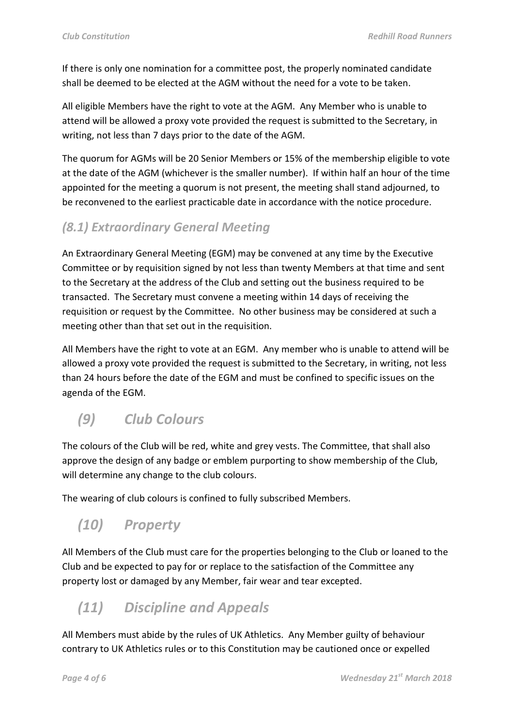If there is only one nomination for a committee post, the properly nominated candidate shall be deemed to be elected at the AGM without the need for a vote to be taken.

All eligible Members have the right to vote at the AGM. Any Member who is unable to attend will be allowed a proxy vote provided the request is submitted to the Secretary, in writing, not less than 7 days prior to the date of the AGM.

The quorum for AGMs will be 20 Senior Members or 15% of the membership eligible to vote at the date of the AGM (whichever is the smaller number). If within half an hour of the time appointed for the meeting a quorum is not present, the meeting shall stand adjourned, to be reconvened to the earliest practicable date in accordance with the notice procedure.

#### *(8.1) Extraordinary General Meeting*

An Extraordinary General Meeting (EGM) may be convened at any time by the Executive Committee or by requisition signed by not less than twenty Members at that time and sent to the Secretary at the address of the Club and setting out the business required to be transacted. The Secretary must convene a meeting within 14 days of receiving the requisition or request by the Committee. No other business may be considered at such a meeting other than that set out in the requisition.

All Members have the right to vote at an EGM. Any member who is unable to attend will be allowed a proxy vote provided the request is submitted to the Secretary, in writing, not less than 24 hours before the date of the EGM and must be confined to specific issues on the agenda of the EGM.

### *(9) Club Colours*

The colours of the Club will be red, white and grey vests. The Committee, that shall also approve the design of any badge or emblem purporting to show membership of the Club, will determine any change to the club colours.

The wearing of club colours is confined to fully subscribed Members.

#### *(10) Property*

All Members of the Club must care for the properties belonging to the Club or loaned to the Club and be expected to pay for or replace to the satisfaction of the Committee any property lost or damaged by any Member, fair wear and tear excepted.

# *(11) Discipline and Appeals*

All Members must abide by the rules of UK Athletics. Any Member guilty of behaviour contrary to UK Athletics rules or to this Constitution may be cautioned once or expelled